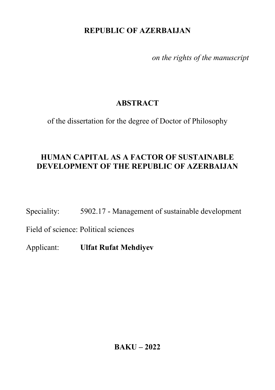### **REPUBLIC OF AZERBAIJAN**

*on the rights of the manuscript* 

# **ABSTRACT**

of the dissertation for the degree of Doctor of Philosophy

## **HUMAN CAPITAL AS A FACTOR OF SUSTAINABLE DEVELOPMENT OF THE REPUBLIC OF AZERBAIJAN**

Speciality: 5902.17 - Management of sustainable development

Field of science: Political sciences

Applicant: **Ulfat Rufat Mehdiyev**

**BAKU – 2022**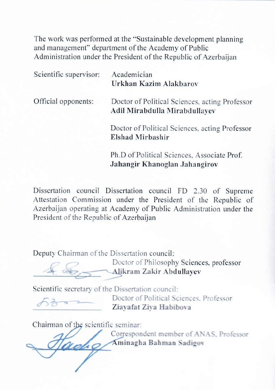The work was performed at the "Sustainable development planning" and management" department of the Academy of Public<br>Administration under the President of the Republic of Azerbaijan

|  | Scientific supervisor: | Academician                                    |
|--|------------------------|------------------------------------------------|
|  |                        | Urkhan Kazim Alakbarov                         |
|  | Official opponents:    | Doctor of Political Sciences, acting Professor |
|  |                        | Adil Mirabdulla Mirabdullayev                  |
|  |                        | Doctor of Political Sciences, acting Professor |
|  |                        | <b>Elshad Mirbashir</b>                        |
|  |                        | Ph.D of Political Sciences, Associate Prof.    |
|  |                        | Jahangir Khanoglan Jahangirov                  |

Dissertation council Dissertation council FD 2.30 of Supreme Dissertation council Dissertation council  $FD$   $2.30$  of supremi Attestation Commission under the President of the Republic of Azerbaijan operating at Academy of Public Administration under the President of the Republic of Azerbaijan

Deputy Chairman of the Dissertation council:

 $D_{\text{S}}$   $D_{\text{S}}$   $D_{\text{S}}$   $D_{\text{S}}$   $D_{\text{S}}$   $D_{\text{S}}$   $D_{\text{S}}$   $D_{\text{S}}$   $D_{\text{S}}$   $D_{\text{S}}$   $D_{\text{S}}$   $D_{\text{S}}$   $D_{\text{S}}$   $D_{\text{S}}$   $D_{\text{S}}$   $D_{\text{S}}$   $D_{\text{S}}$   $D_{\text{S}}$   $D_{\text{S}}$   $D_{\text{S}}$   $D_{\text{S}}$   $D_{\text{S}}$   $\mathcal{L}$   $\mathcal{L}$  bottor of innosophy seter

Scientific secretary of the Dissertation council:

Doctor of Political Sciences, Professor \_\_\_\_\_\_\_\_\_\_\_\_\_\_\_\_\_\_\_ **Ziayafat Ziya Habibova**

Chairman of the scientific seminar:

 Correspondent member of ANAS, Professor \_\_\_\_\_\_\_\_\_\_\_\_\_\_\_\_\_\_\_ **Aminagha Bahman Sadigov**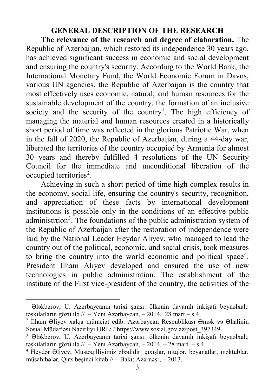#### **GENERAL DESCRIPTION OF THE RESEARCH**

**The relevance of the research and degree of elaboration.** The Republic of Azerbaijan, which restored its independence 30 years ago, has achieved significant success in economic and social development and ensuring the country's security. According to the World Bank, the International Monetary Fund, the World Economic Forum in Davos, various UN agencies, the Republic of Azerbaijan is the country that most effectively uses economic, natural, and human resources for the sustainable development of the country, the formation of an inclusive society and the security of the country<sup>[1](#page-2-0)</sup>. The high efficiency of managing the material and human resources created in a historically short period of time was reflected in the glorious Patriotic War, when in the fall of 2020, the Republic of Azerbaijan, during a 44-day war, liberated the territories of the country occupied by Armenia for almost 30 years and thereby fulfilled 4 resolutions of the UN Security Council for the immediate and unconditional liberation of the occupied territories<sup>[2](#page-2-1)</sup>.

Achieving in such a short period of time high complex results in the economy, social life, ensuring the country's security, recognition, and appreciation of these facts by international development institutions is possible only in the conditions of an effective public administrtion<sup>[3](#page-2-2)</sup>. The foundations of the public administration system of the Republic of Azerbaijan after the restoration of independence were laid by the National Leader Heydar Aliyev, who managed to lead the country out of the political, economic, and social crisis, took measures to bring the country into the world economic and political space<sup>[4](#page-2-3)</sup>. President Ilham Aliyev developed and ensured the use of new technologies in public administration. The establishment of the institute of the First vice-president of the country, the activities of the

<span id="page-2-0"></span><sup>1</sup> Ələkbərov, U. Azərbaycanın tarixi şansı: ölkənin davamlı inkişafı beynəlxalq təşkilatların gözü ilə // – Yeni Azərbaycan, – 2014, 28 mart.– s.4.

<span id="page-2-1"></span><sup>2</sup> İlham Əliyev xalqa müraciət edib. Azərbaycan Respublikası Əmək və Əhalinin Sosial Müdafiəsi Nazirliyi URL: / [https://www.sosial.gov.az/post\\_397349](https://www.sosial.gov.az/post_397349)

<span id="page-2-2"></span><sup>3</sup> Ələkbərov, U. Azərbaycanın tarixi şansı: ölkənin davamlı inkişafı beynəlxalq təşkilatların gözü ilə // – Yeni Azərbaycan, – 2014. – 28 mart. – s.4.

<span id="page-2-3"></span><sup>4</sup> Heydər Əliyev, Müstəqilliyimiz əbədidir: çıxışlar, nitqlər, bəyanatlar, məktublar, müsahibələr, Qırx beşinci kitab // – Bakı: Azərnəşr, – 2013.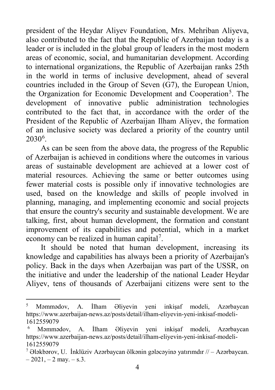president of the Heydar Aliyev Foundation, Mrs. Mehriban Aliyeva, also contributed to the fact that the Republic of Azerbaijan today is a leader or is included in the global group of leaders in the most modern areas of economic, social, and humanitarian development. According to international organizations, the Republic of Azerbaijan ranks 25th in the world in terms of inclusive development, ahead of several countries included in the Group of Seven (G7), the European Union, the Organization for Economic Development and Cooperation<sup>[5](#page-3-0)</sup>. The development of innovative public administration technologies contributed to the fact that, in accordance with the order of the President of the Republic of Azerbaijan Ilham Aliyev, the formation of an inclusive society was declared a priority of the country until  $2030^6$  $2030^6$ .

As can be seen from the above data, the progress of the Republic of Azerbaijan is achieved in conditions where the outcomes in various areas of sustainable development are achieved at a lower cost of material resources. Achieving the same or better outcomes using fewer material costs is possible only if innovative technologies are used, based on the knowledge and skills of people involved in planning, managing, and implementing economic and social projects that ensure the country's security and sustainable development. We are talking, first, about human development, the formation and constant improvement of its capabilities and potential, which in a market economy can be realized in human capital<sup>[7](#page-3-2)</sup>.

It should be noted that human development, increasing its knowledge and capabilities has always been a priority of Azerbaijan's policy. Back in the days when Azerbaijan was part of the USSR, on the initiative and under the leadership of the national Leader Heydar Aliyev, tens of thousands of Azerbaijani citizens were sent to the

 $\overline{a}$ 

<span id="page-3-0"></span><sup>5</sup> Məmmədov, A. İlham Əliyevin yeni inkişaf modeli, Azərbaycan [https://www.azerbaijan-news.az/posts/detail/ilham-eliyevin-yeni-inkisaf-modeli-](https://www.azerbaijan-news.az/posts/detail/ilham-eliyevin-yeni-inkisaf-modeli-1612559079)[1612559079](https://www.azerbaijan-news.az/posts/detail/ilham-eliyevin-yeni-inkisaf-modeli-1612559079)

<span id="page-3-1"></span><sup>6</sup> Məmmədov, A. İlham Əliyevin yeni inkişaf modeli, Azərbaycan [https://www.azerbaijan-news.az/posts/detail/ilham-eliyevin-yeni-inkisaf-modeli-](https://www.azerbaijan-news.az/posts/detail/ilham-eliyevin-yeni-inkisaf-modeli-1612559079)[1612559079](https://www.azerbaijan-news.az/posts/detail/ilham-eliyevin-yeni-inkisaf-modeli-1612559079)

<span id="page-3-2"></span><sup>&</sup>lt;sup>7</sup> Ələkbərov, U. İnklüziv Azərbaycan ölkənin gələcəyinə yatırımdır  $\pi/$  – Azərbaycan.  $-2021, -2$  may.  $-$  s.3.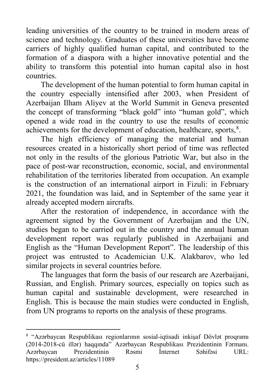leading universities of the country to be trained in modern areas of science and technology. Graduates of these universities have become carriers of highly qualified human capital, and contributed to the formation of a diaspora with a higher innovative potential and the ability to transform this potential into human capital also in host countries.

The development of the human potential to form human capital in the country especially intensified after 2003, when President of Azerbaijan Ilham Aliyev at the World Summit in Geneva presented the concept of transforming "black gold" into "human gold", which opened a wide road in the country to use the results of economic achievements for the development of education, healthcare, sports,<sup>[8](#page-4-0)</sup>.

The high efficiency of managing the material and human resources created in a historically short period of time was reflected not only in the results of the glorious Patriotic War, but also in the pace of post-war reconstruction, economic, social, and environmental rehabilitation of the territories liberated from occupation. An example is the construction of an international airport in Fizuli: in February 2021, the foundation was laid, and in September of the same year it already accepted modern aircrafts.

After the restoration of independence, in accordance with the agreement signed by the Government of Azerbaijan and the UN, studies began to be carried out in the country and the annual human development report was regularly published in Azerbaijani and English as the "Human Development Report". The leadership of this project was entrusted to Academician U.K. Alakbarov, who led similar projects in several countries before.

The languages that form the basis of our research are Azerbaijani, Russian, and English. Primary sources, especially on topics such as human capital and sustainable development, were researched in English. This is because the main studies were conducted in English, from UN programs to reports on the analysis of these programs.

<span id="page-4-0"></span><sup>8</sup> "Azərbaycan Respublikası regionlarının sosial-iqtisadi inkişaf Dövlət proqramı (2014-2018-cü illər) haqqında" Azərbaycan Respublikası Prezidentinin Fərmanı. Azərbaycan Prezidentinin Rəsmi İnternet Səhifəsi URL: <https://president.az/articles/11089>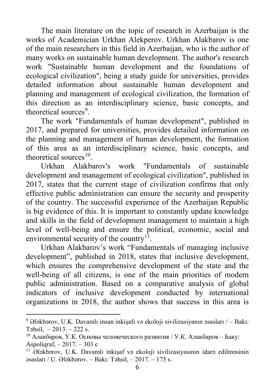The main literature on the topic of research in Azerbaijan is the works of Academician Urkhan Alekperov. Urkhan Alakbarov is one of the main researchers in this field in Azerbaijan, who is the author of many works on sustainable human development. The author's research work "Sustainable human development and the foundations of ecological civilization", being a study guide for universities, provides detailed information about sustainable human development and planning and management of ecological civilization, the formation of this direction as an interdisciplinary science, basic concepts, and theoretical sources<sup>[9](#page-5-0)</sup>.

The work "Fundamentals of human development", published in 2017, and prepared for universities, provides detailed information on the planning and management of human development, the formation of this area as an interdisciplinary science, basic concepts, and theoretical sources $10$ .

Urkhan Alakbarov's work "Fundamentals of sustainable development and management of ecological civilization", published in 2017, states that the current stage of civilization confirms that only effective public administration can ensure the security and prosperity of the country. The successful experience of the Azerbaijan Republic is big evidence of this. It is important to constantly update knowledge and skills in the field of development management to maintain a high level of well-being and ensure the political, economic, social and environmental security of the country<sup>11</sup>.

Urkhan Alakbarov's work "Fundamentals of managing inclusive development", published in 2018, states that inclusive development, which ensures the comprehensive development of the state and the well-being of all citizens, is one of the main priorities of modern public administration. Based on a comparative analysis of global indicators of inclusive development conducted by international organizations in 2018, the author shows that success in this area is

**.** 

<span id="page-5-0"></span> $9$  Ələkbərov, U.K. Davamlı insan inkişafı və ekoloji sivilizasiyanın əsasları  $/-$  Bakı: Təhsil, – 2013. – 222 s.

<span id="page-5-1"></span><sup>10</sup> Алакбаров, У.К. Основы человеческого развития / У.К. Алакбаров – Баку: Aspoliqraf, – 2017. – 303 c

<span id="page-5-2"></span><sup>11</sup> Ələkbərov, U.K. Davamlı inkişaf və ekoloji sivilizasiyasının idarə edilməsinin əsasları / U. Ələkbərov. – Bakı: Təhsil, – 2017. – 175 s.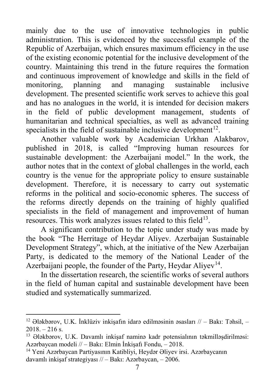mainly due to the use of innovative technologies in public administration. This is evidenced by the successful example of the Republic of Azerbaijan, which ensures maximum efficiency in the use of the existing economic potential for the inclusive development of the country. Maintaining this trend in the future requires the formation and continuous improvement of knowledge and skills in the field of monitoring, planning and managing sustainable inclusive development. The presented scientific work serves to achieve this goal and has no analogues in the world, it is intended for decision makers in the field of public development management, students of humanitarian and technical specialties, as well as advanced training specialists in the field of sustainable inclusive development<sup>[12](#page-6-0)</sup>.

Another valuable work by Academician Urkhan Alakbarov, published in 2018, is called "Improving human resources for sustainable development: the Azerbaijani model." In the work, the author notes that in the context of global challenges in the world, each country is the venue for the appropriate policy to ensure sustainable development. Therefore, it is necessary to carry out systematic reforms in the political and socio-economic spheres. The success of the reforms directly depends on the training of highly qualified specialists in the field of management and improvement of human resources. This work analyzes issues related to this field $13$ .

A significant contribution to the topic under study was made by the book "The Herritage of Heydar Aliyev. Azerbaijan Sustainable Development Strategy", which, at the initiative of the New Azerbaijan Party, is dedicated to the memory of the National Leader of the Azerbaijani people, the founder of the Party, Heydar Aliyev<sup>[14](#page-6-2)</sup>.

In the dissertation research, the scientific works of several authors in the field of human capital and sustainable development have been studied and systematically summarized.

<span id="page-6-0"></span>**<sup>.</sup>** <sup>12</sup> Ələkbərov, U.K. İnklüziv inkişafın idarə edilməsinin əsasları  $\pi/$  – Bakı: Təhsil, –  $2018. - 216$  s.

<span id="page-6-1"></span><sup>13</sup> Ələkbərov, U.K. Davamlı inkişaf naminə kadr potensialının təkmilləşdirilməsi: Azərbaycan modeli // – Bakı: Elmin İnkişafı Fondu, – 2018.

<span id="page-6-2"></span><sup>14</sup> Yeni Azərbaycan Partiyasının Katibliyi, Heydər Əliyev irsi. Azərbaycanın davamlı inkişaf strategiyası // – Bakı: Azərbaycan, – 2006.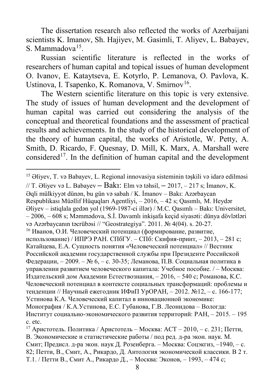The dissertation research also reflected the works of Azerbaijani scientists K. Imanov, Sh. Hajiyev, M. Gasimli, T. Aliyev, L. Babayev, S. Mammadova $^{15}$  $^{15}$  $^{15}$ .

Russian scientific literature is reflected in the works of researchers of human capital and topical issues of human development O. Ivanov, E. Kataytseva, E. Kotyrlo, P. Lemanova, O. Pavlova, K. Ustinova, I. Tsapenko, K. Romanova, V. Smirnov<sup>16</sup>.

The Western scientific literature on this topic is very extensive. The study of issues of human development and the development of human capital was carried out considering the analysis of the conceptual and theoretical foundations and the assessment of practical results and achievements. In the study of the historical development of the theory of human capital, the works of Aristotle, W. Petty, A. Smith, D. Ricardo, F. Quesnay, D. Mill, K. Marx, A. Marshall were considered<sup>[17](#page-7-2)</sup>. In the definition of human capital and the development

-

<span id="page-7-0"></span><sup>15</sup> Əliyev, T. və Babayev, L. Regional innovasiya sisteminin təşkili və idarə edilməsi

<sup>//</sup> T. Əliyev və L. Babayev **–** Bakı: Elm və təhsil, **–** 2017, – 217 s; İmanov, K.

Əqli mülkiyyət dünən, bu gün və sabah / K. İmanov – Bakı: Azərbaycan

Respublikası Müəllif Hüquqları Agentliyi, – 2016, – 42 s; Qasımlı, M. Heydər

Əliyev – istiqlala gedən yol (1969-1987-ci illər) / M.C. Qasımlı – Bakı: Universitet, – 2006, – 608 s; Məmmədova, S.İ. Davamlı inkişafa keçid siyasəti: dünya dövlətləri

və Azərbaycanın təcrübəsi // "Geostrategiya". 2011. № 4(04). s. 20-27.

<span id="page-7-1"></span> $16$  Иванов, О.И. Человеческий потенциал (формирование, развитие, использование) / ИПРЭ РАН. СПбГУ. – СПб: Скифия-принт, – 2013, – 281 c; Катайцева, Е.А. Сущность понятия «Человеческий потенциал» // Вестник Российской академии государственной службы при Президенте Российской Федерации, – 2009. – № 6, – с. 30-35; Леманова, П.В. Социальная политика в управлении развитием человеческого капитала: Учебное пособие. / – Москва: Издательский дом Академии Естествознания, – 2016, – 540 c; Романова, К.С. Человеческий потенциал в контексте социальных трансформаций: проблемы и тенденции // Научный ежегодник ИФиП УрОРАН, – 2012. №12, – c. 166-177; Устинова К.А. Человеческий капитал в инновационной экономике: Монография / К.А.Устинова, Е.С. Губанова, Г.В. Леонидова – Вологда:

Институт социально-экономического развития территорий: РАН, – 2015. – 195 с. etc.

<span id="page-7-2"></span><sup>&</sup>lt;sup>17</sup> Аристотель. Политика / Аристотель – Москва: АСТ – 2010, – с. 231; Петти, В. Экономические и статистические работы / под ред. д-ра экон. наук. М. Смит; Предисл. д-ра экон. наук Д. Розенберга. – Москва: Соцэкгиз, –1940, – с. 82; Петти, В., Смит, А., Рикардо, Д. Антология экономической классики. В 2 т. Т.1. / Петти В., Смит А., Рикардо Д., – Москва: Эконов, – 1993, – 474 c;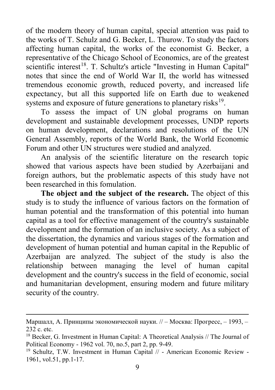of the modern theory of human capital, special attention was paid to the works of T. Schulz and G. Becker, L. Thurow. To study the factors affecting human capital, the works of the economist G. Becker, a representative of the Chicago School of Economics, are of the greatest scientific interest<sup>18</sup>. T. Schultz's article "Investing in Human Capital" notes that since the end of World War II, the world has witnessed tremendous economic growth, reduced poverty, and increased life expectancy, but all this supported life on Earth due to weakened systems and exposure of future generations to planetary risks<sup>19</sup>.

To assess the impact of UN global programs on human development and sustainable development processes, UNDP reports on human development, declarations and resolutions of the UN General Assembly, reports of the World Bank, the World Economic Forum and other UN structures were studied and analyzed.

An analysis of the scientific literature on the research topic showed that various aspects have been studied by Azerbaijani and foreign authors, but the problematic aspects of this study have not been researched in this fomulation.

**The object and the subject of the research.** The object of this study is to study the influence of various factors on the formation of human potential and the transformation of this potential into human capital as a tool for effective management of the country's sustainable development and the formation of an inclusive society. As a subject of the dissertation, the dynamics and various stages of the formation and development of human potential and human capital in the Republic of Azerbaijan are analyzed. The subject of the study is also the relationship between managing the level of human capital development and the country's success in the field of economic, social and humanitarian development, ensuring modern and future military security of the country.

**.** 

Маршалл, А. Принципы экономической науки. // – Москва: Прогресс, – 1993, – 232 c. etc.<br><sup>18</sup> Becker, G. Investment in Human Capital: A Theoretical Analysis // The Journal of

<span id="page-8-0"></span>Political Economy - 1962 vol. 70, no.5, part 2, pp. 9-49.

<span id="page-8-1"></span><sup>&</sup>lt;sup>19</sup> Schultz, T.W. Investment in Human Capital // - American Economic Review -1961, vol.51, pp.1-17.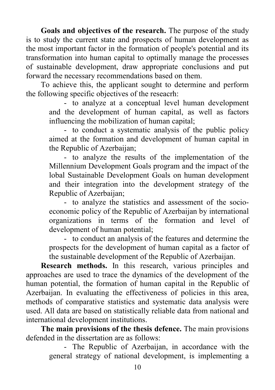**Goals and objectives of the research.** The purpose of the study is to study the current state and prospects of human development as the most important factor in the formation of people's potential and its transformation into human capital to optimally manage the processes of sustainable development, draw appropriate conclusions and put forward the necessary recommendations based on them.

To achieve this, the applicant sought to determine and perform the following specific objectives of the reseacrh:

> - to analyze at a conceptual level human development and the development of human capital, as well as factors influencing the mobilization of human capital;

> - to conduct a systematic analysis of the public policy aimed at the formation and development of human capital in the Republic of Azerbaijan;

> - to analyze the results of the implementation of the Millennium Development Goals program and the impact of the lobal Sustainable Development Goals on human development and their integration into the development strategy of the Republic of Azerbaijan;

> - to analyze the statistics and assessment of the socioeconomic policy of the Republic of Azerbaijan by international organizations in terms of the formation and level of development of human potential;

> - to conduct an analysis of the features and determine the prospects for the development of human capital as a factor of the sustainable development of the Republic of Azerbaijan.

**Research methods.** In this research, various principles and approaches are used to trace the dynamics of the development of the human potential, the formation of human capital in the Republic of Azerbaijan. In evaluating the effectiveness of policies in this area, methods of comparative statistics and systematic data analysis were used. All data are based on statistically reliable data from national and international development institutions.

**The main provisions of the thesis defence.** The main provisions defended in the dissertation are as follows:

> - The Republic of Azerbaijan, in accordance with the general strategy of national development, is implementing a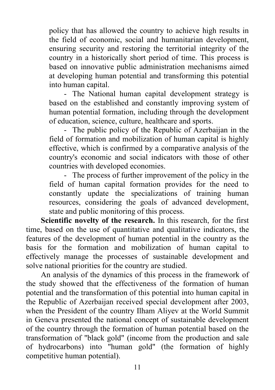policy that has allowed the country to achieve high results in the field of economic, social and humanitarian development, ensuring security and restoring the territorial integrity of the country in a historically short period of time. This process is based on innovative public administration mechanisms aimed at developing human potential and transforming this potential into human capital.

- The National human capital development strategy is based on the established and constantly improving system of human potential formation, including through the development of education, science, culture, healthcare and sports.

- The public policy of the Republic of Azerbaijan in the field of formation and mobilization of human capital is highly effective, which is confirmed by a comparative analysis of the country's economic and social indicators with those of other countries with developed economies.

- The process of further improvement of the policy in the field of human capital formation provides for the need to constantly update the specializations of training human resources, considering the goals of advanced development, state and public monitoring of this process.

**Scientific novelty of the research.** In this research, for the first time, based on the use of quantitative and qualitative indicators, the features of the development of human potential in the country as the basis for the formation and mobilization of human capital to effectively manage the processes of sustainable development and solve national priorities for the country are studied.

An analysis of the dynamics of this process in the framework of the study showed that the effectiveness of the formation of human potential and the transformation of this potential into human capital in the Republic of Azerbaijan received special development after 2003, when the President of the country Ilham Aliyev at the World Summit in Geneva presented the national concept of sustainable development of the country through the formation of human potential based on the transformation of "black gold" (income from the production and sale of hydrocarbons) into "human gold" (the formation of highly competitive human potential).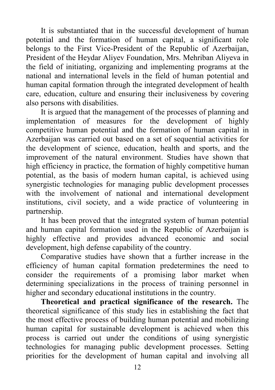It is substantiated that in the successful development of human potential and the formation of human capital, a significant role belongs to the First Vice-President of the Republic of Azerbaijan, President of the Heydar Aliyev Foundation, Mrs. Mehriban Aliyeva in the field of initiating, organizing and implementing programs at the national and international levels in the field of human potential and human capital formation through the integrated development of health care, education, culture and ensuring their inclusiveness by covering also persons with disabilities.

It is argued that the management of the processes of planning and implementation of measures for the development of highly competitive human potential and the formation of human capital in Azerbaijan was carried out based on a set of sequential activities for the development of science, education, health and sports, and the improvement of the natural environment. Studies have shown that high efficiency in practice, the formation of highly competitive human potential, as the basis of modern human capital, is achieved using synergistic technologies for managing public development processes with the involvement of national and international development institutions, civil society, and a wide practice of volunteering in partnership.

It has been proved that the integrated system of human potential and human capital formation used in the Republic of Azerbaijan is highly effective and provides advanced economic and social development, high defense capability of the country.

Comparative studies have shown that a further increase in the efficiency of human capital formation predetermines the need to consider the requirements of a promising labor market when determining specializations in the process of training personnel in higher and secondary educational institutions in the country.

**Theoretical and practical significance of the research.** The theoretical significance of this study lies in establishing the fact that the most effective process of building human potential and mobilizing human capital for sustainable development is achieved when this process is carried out under the conditions of using synergistic technologies for managing public development processes. Setting priorities for the development of human capital and involving all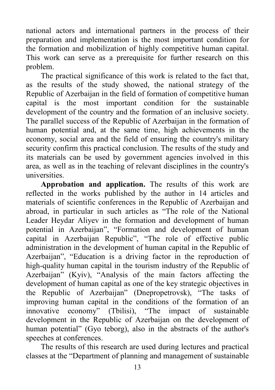national actors and international partners in the process of their preparation and implementation is the most important condition for the formation and mobilization of highly competitive human capital. This work can serve as a prerequisite for further research on this problem.

The practical significance of this work is related to the fact that, as the results of the study showed, the national strategy of the Republic of Azerbaijan in the field of formation of competitive human capital is the most important condition for the sustainable development of the country and the formation of an inclusive society. The parallel success of the Republic of Azerbaijan in the formation of human potential and, at the same time, high achievements in the economy, social area and the field of ensuring the country's military security confirm this practical conclusion. The results of the study and its materials can be used by government agencies involved in this area, as well as in the teaching of relevant disciplines in the country's universities.

**Approbation and application.** The results of this work are reflected in the works published by the author in 14 articles and materials of scientific conferences in the Republic of Azerbaijan and abroad, in particular in such articles as "The role of the National Leader Heydar Aliyev in the formation and development of human potential in Azerbaijan", "Formation and development of human capital in Azerbaijan Republic", "The role of effective public administration in the development of human capital in the Republic of Azerbaijan", "Education is a driving factor in the reproduction of high-quality human capital in the tourism industry of the Republic of Azerbaijan" (Kyiv), "Analysis of the main factors affecting the development of human capital as one of the key strategic objectives in the Republic of Azerbaijan" (Dnepropetrovsk), "The tasks of improving human capital in the conditions of the formation of an innovative economy" (Tbilisi), "The impact of sustainable development in the Republic of Azerbaijan on the development of human potential" (Gyo teborg), also in the abstracts of the author's speeches at conferences.

The results of this research are used during lectures and practical classes at the "Department of planning and management of sustainable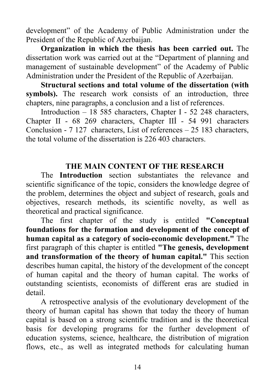development" of the Academy of Public Administration under the President of the Republic of Azerbaijan.

**Organization in which the thesis has been carried out.** The dissertation work was carried out at the "Department of planning and management of sustainable development" of the Academy of Public Administration under the President of the Republic of Azerbaijan.

**Structural sections and total volume of the dissertation (with**  symbols). The research work consists of an introduction, three chapters, nine paragraphs, a conclusion and a list of references.

Introduction – 18 585 characters, Chapter I - 52 248 characters, Chapter II - 68 269 characters, Chapter IIİ - 54 991 characters Conclusion - 7 127 characters, List of references – 25 183 characters, the total volume of the dissertation is 226 403 characters.

#### **THE MAIN CONTENT OF THE RESEARCH**

The **Introduction** section substantiates the relevance and scientific significance of the topic, considers the knowledge degree of the problem, determines the object and subject of research, goals and objectives, research methods, its scientific novelty, as well as theoretical and practical significance.

The first chapter of the study is entitled **"Conceptual foundations for the formation and development of the concept of human capital as a category of socio-economic development."** The first paragraph of this chapter is entitled **"The genesis, development and transformation of the theory of human capital."** This section describes human capital, the history of the development of the concept of human capital and the theory of human capital. The works of outstanding scientists, economists of different eras are studied in detail.

A retrospective analysis of the evolutionary development of the theory of human capital has shown that today the theory of human capital is based on a strong scientific tradition and is the theoretical basis for developing programs for the further development of education systems, science, healthcare, the distribution of migration flows, etc., as well as integrated methods for calculating human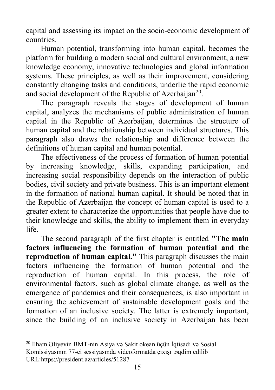capital and assessing its impact on the socio-economic development of countries.

Human potential, transforming into human capital, becomes the platform for building a modern social and cultural environment, a new knowledge economy, innovative technologies and global information systems. These principles, as well as their improvement, considering constantly changing tasks and conditions, underlie the rapid economic and social development of the Republic of Azerbaijan<sup>[20](#page-14-0)</sup>.

The paragraph reveals the stages of development of human capital, analyzes the mechanisms of public administration of human capital in the Republic of Azerbaijan, determines the structure of human capital and the relationship between individual structures. This paragraph also draws the relationship and difference between the definitions of human capital and human potential.

The effectiveness of the process of formation of human potential by increasing knowledge, skills, expanding participation, and increasing social responsibility depends on the interaction of public bodies, civil society and private business. This is an important element in the formation of national human capital. It should be noted that in the Republic of Azerbaijan the concept of human capital is used to a greater extent to characterize the opportunities that people have due to their knowledge and skills, the ability to implement them in everyday life.

The second paragraph of the first chapter is entitled **"The main factors influencing the formation of human potential and the reproduction of human capital."** This paragraph discusses the main factors influencing the formation of human potential and the reproduction of human capital. In this process, the role of environmental factors, such as global climate change, as well as the emergence of pandemics and their consequences, is also important in ensuring the achievement of sustainable development goals and the formation of an inclusive society. The latter is extremely important, since the building of an inclusive society in Azerbaijan has been

**.** 

<span id="page-14-0"></span><sup>20</sup> İlham Əliyevin BMT-nin Asiya və Sakit okean üçün İqtisadi və Sosial Komissiyasının 77-ci sessiyasında videoformatda çıxışı təqdim edilib URL[:https://president.az/articles/51287](https://president.az/articles/51287)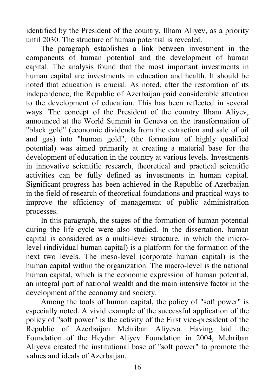identified by the President of the country, Ilham Aliyev, as a priority until 2030. The structure of human potential is revealed.

The paragraph establishes a link between investment in the components of human potential and the development of human capital. The analysis found that the most important investments in human capital are investments in education and health. It should be noted that education is crucial. As noted, after the restoration of its independence, the Republic of Azerbaijan paid considerable attention to the development of education. This has been reflected in several ways. The concept of the President of the country Ilham Aliyev, announced at the World Summit in Geneva on the transformation of "black gold" (economic dividends from the extraction and sale of oil and gas) into "human gold", (the formation of highly qualified potential) was aimed primarily at creating a material base for the development of education in the country at various levels. Investments in innovative scientific research, theoretical and practical scientific activities can be fully defined as investments in human capital. Significant progress has been achieved in the Republic of Azerbaijan in the field of research of theoretical foundations and practical ways to improve the efficiency of management of public administration processes.

In this paragraph, the stages of the formation of human potential during the life cycle were also studied. In the dissertation, human capital is considered as a multi-level structure, in which the microlevel (individual human capital) is a platform for the formation of the next two levels. The meso-level (corporate human capital) is the human capital within the organization. The macro-level is the national human capital, which is the economic expression of human potential, an integral part of national wealth and the main intensive factor in the development of the economy and society.

Among the tools of human capital, the policy of "soft power" is especially noted. A vivid example of the successful application of the policy of "soft power" is the activity of the First vice-president of the Republic of Azerbaijan Mehriban Aliyeva. Having laid the Foundation of the Heydar Aliyev Foundation in 2004, Mehriban Aliyeva created the institutional base of "soft power" to promote the values and ideals of Azerbaijan.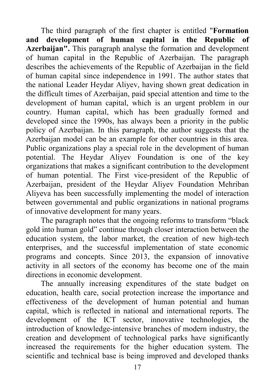The third paragraph of the first chapter is entitled "**Formation and development of human capital in the Republic of Azerbaijan".** This paragraph analyse the formation and development of human capital in the Republic of Azerbaijan. The paragraph describes the achievements of the Republic of Azerbaijan in the field of human capital since independence in 1991. The author states that the national Leader Heydar Aliyev, having shown great dedication in the difficult times of Azerbaijan, paid special attention and time to the development of human capital, which is an urgent problem in our country. Human capital, which has been gradually formed and developed since the 1990s, has always been a priority in the public policy of Azerbaijan. In this paragraph, the author suggests that the Azerbaijan model can be an example for other countries in this area. Public organizations play a special role in the development of human potential. The Heydar Aliyev Foundation is one of the key organizations that makes a significant contribution to the development of human potential. The First vice-president of the Republic of Azerbaijan, president of the Heydar Aliyev Foundation Mehriban Aliyeva has been successfully implementing the model of interaction between governmental and public organizations in national programs of innovative development for many years.

The paragraph notes that the ongoing reforms to transform "black gold into human gold" continue through closer interaction between the education system, the labor market, the creation of new high-tech enterprises, and the successful implementation of state economic programs and concepts. Since 2013, the expansion of innovative activity in all sectors of the economy has become one of the main directions in economic development.

The annually increasing expenditures of the state budget on education, health care, social protection increase the importance and effectiveness of the development of human potential and human capital, which is reflected in national and international reports. The development of the ICT sector, innovative technologies, the introduction of knowledge-intensive branches of modern industry, the creation and development of technological parks have significantly increased the requirements for the higher education system. The scientific and technical base is being improved and developed thanks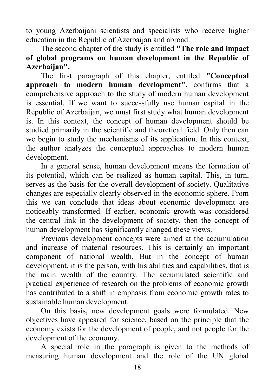to young Azerbaijani scientists and specialists who receive higher education in the Republic of Azerbaijan and abroad.

The second chapter of the study is entitled **"The role and impact of global programs on human development in the Republic of Azerbaijan".**

The first paragraph of this chapter, entitled **"Conceptual approach to modern human development",** confirms that a comprehensive approach to the study of modern human development is essential. If we want to successfully use human capital in the Republic of Azerbaijan, we must first study what human development is. In this context, the concept of human development should be studied primarily in the scientific and theoretical field. Only then can we begin to study the mechanisms of its application. In this context, the author analyzes the conceptual approaches to modern human development.

In a general sense, human development means the formation of its potential, which can be realized as human capital. This, in turn, serves as the basis for the overall development of society. Qualitative changes are especially clearly observed in the economic sphere. From this we can conclude that ideas about economic development are noticeably transformed. If earlier, economic growth was considered the central link in the development of society, then the concept of human development has significantly changed these views.

Previous development concepts were aimed at the accumulation and increase of material resources. This is certainly an important component of national wealth. But in the concept of human development, it is the person, with his abilities and capabilities, that is the main wealth of the country. The accumulated scientific and practical experience of research on the problems of economic growth has contributed to a shift in emphasis from economic growth rates to sustainable human development.

On this basis, new development goals were formulated. New objectives have appeared for science, based on the principle that the economy exists for the development of people, and not people for the development of the economy.

A special role in the paragraph is given to the methods of measuring human development and the role of the UN global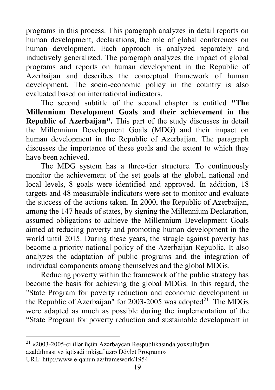programs in this process. This paragraph analyzes in detail reports on human development, declarations, the role of global conferences on human development. Each approach is analyzed separately and inductively generalized. The paragraph analyzes the impact of global programs and reports on human development in the Republic of Azerbaijan and describes the conceptual framework of human development. The socio-economic policy in the country is also evaluated based on international indicators.

The second subtitle of the second chapter is entitled **"The Millennium Development Goals and their achievement in the Republic of Azerbaijan".** This part of the study discusses in detail the Millennium Development Goals (MDG) and their impact on human development in the Republic of Azerbaijan. The paragraph discusses the importance of these goals and the extent to which they have been achieved.

The MDG system has a three-tier structure. To continuously monitor the achievement of the set goals at the global, national and local levels, 8 goals were identified and approved. In addition, 18 targets and 48 measurable indicators were set to monitor and evaluate the success of the actions taken. In 2000, the Republic of Azerbaijan, among the 147 heads of states, by signing the Millennium Declaration, assumed obligations to achieve the Millennium Development Goals aimed at reducing poverty and promoting human development in the world until 2015. During these years, the strugle against poverty has become a priority national policy of the Azerbaijan Republic. It also analyzes the adaptation of public programs and the integration of individual components among themselves and the global MDGs.

Reducing poverty within the framework of the public strategy has become the basis for achieving the global MDGs. In this regard, the "State Program for poverty reduction and economic development in the Republic of Azerbaijan" for 2003-2005 was adopted<sup>[21](#page-18-0)</sup>. The MDGs were adapted as much as possible during the implementation of the "State Program for poverty reduction and sustainable development in

<span id="page-18-0"></span> $^{21}$  «2003-2005-ci illər üçün Azərbaycan Respublikasında yoxsulluğun azaldılması və iqtisadi inkişaf üzrə Dövlət Proqramı» URL:<http://www.e-qanun.az/framework/1954>

**.**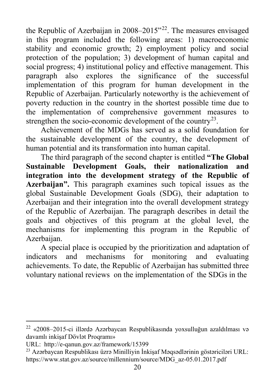the Republic of Azerbaijan in  $2008-2015$ <sup>[22](#page-19-0)</sup>. The measures envisaged in this program included the following areas: 1) macroeconomic stability and economic growth; 2) employment policy and social protection of the population; 3) development of human capital and social progress; 4) institutional policy and effective management. This paragraph also explores the significance of the successful implementation of this program for human development in the Republic of Azerbaijan. Particularly noteworthy is the achievement of poverty reduction in the country in the shortest possible time due to the implementation of comprehensive government measures to strengthen the socio-economic development of the country<sup>[23](#page-19-1)</sup>.

Achievement of the MDGs has served as a solid foundation for the sustainable development of the country, the development of human potential and its transformation into human capital.

The third paragraph of the second chapter is entitled **"The Global Sustainable Development Goals, their nationalization and integration into the development strategy of the Republic of Azerbaijan".** This paragraph examines such topical issues as the global Sustainable Development Goals (SDG), their adaptation to Azerbaiian and their integration into the overall development strategy of the Republic of Azerbaijan. The paragraph describes in detail the goals and objectives of this program at the global level, the mechanisms for implementing this program in the Republic of Azerbaijan.

A special place is occupied by the prioritization and adaptation of indicators and mechanisms for monitoring and evaluating achievements. To date, the Republic of Azerbaijan has submitted three voluntary national reviews on the implementation of the SDGs in the

 $\overline{\phantom{a}}$ 

<span id="page-19-0"></span><sup>22</sup> «2008–2015-ci illərdə Azərbaycan Respublikasında yoxsulluğun azaldılması və davamlı inkişaf Dövlət Proqramı»

URL: <http://e-qanun.gov.az/framework/15399>

<span id="page-19-1"></span><sup>23</sup> Azərbaycan Respublikası üzrə Minilliyin İnkişaf Məqsədlərinin göstəriciləri URL: [https://www.stat.gov.az/source/millennium/source/MDG\\_az-05.01.2017.pdf](https://www.stat.gov.az/source/millennium/source/MDG_az-05.01.2017.pdf)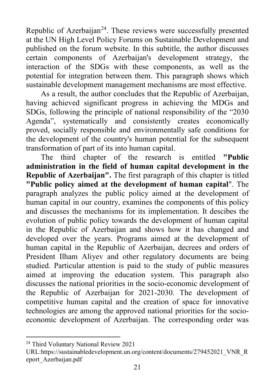Republic of Azerbaijan<sup>24</sup>. These reviews were successfully presented at the UN High Level Policy Forums on Sustainable Development and published on the forum website. In this subtitle, the author discusses certain components of Azerbaijan's development strategy, the interaction of the SDGs with these components, as well as the potential for integration between them. This paragraph shows which sustainable development management mechanisms are most effective.

As a result, the author concludes that the Republic of Azerbaijan, having achieved significant progress in achieving the MDGs and SDGs, following the principle of national responsibility of the "2030 Agenda", systematically and consistently creates economically proved, socially responsible and environmentally safe conditions for the development of the country's human potential for the subsequent transformation of part of its into human capital.

The third chapter of the research is entitled **"Public administration in the field of human capital development in the Republic of Azerbaijan".** The first paragraph of this chapter is titled **"Public policy aimed at the development of human capital**". The paragraph analyzes the public policy aimed at the development of human capital in our country, examines the components of this policy and discusses the mechanisms for its implementation. It descibes the evolution of public policy towards the development of human capital in the Republic of Azerbaijan and shows how it has changed and developed over the years. Programs aimed at the development of human capital in the Republic of Azerbaijan, decrees and orders of President Ilham Aliyev and other regulatory documents are being studied. Particular attention is paid to the study of public measures aimed at improving the education system. This paragraph also discusses the national priorities in the socio-economic development of the Republic of Azerbaijan for 2021-2030. The development of competitive human capital and the creation of space for innovative technologies are among the approved national priorities for the socioeconomic development of Azerbaijan. The corresponding order was

<span id="page-20-0"></span>**<sup>.</sup>** <sup>24</sup> Third Voluntary National Review 2021

URL[:https://sustainabledevelopment.un.org/content/documents/279452021\\_VNR\\_R](https://sustainabledevelopment.un.org/content/documents/279452021_VNR_Report_Azerbaijan.pdf) [eport\\_Azerbaijan.pdf](https://sustainabledevelopment.un.org/content/documents/279452021_VNR_Report_Azerbaijan.pdf)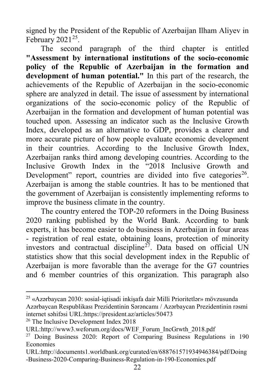signed by the President of the Republic of Azerbaijan Ilham Aliyev in February  $2021^{25}$ .

The second paragraph of the third chapter is entitled **"Assessment by international institutions of the socio-economic policy of the Republic of Azerbaijan in the formation and development of human potential."** In this part of the research, the achievements of the Republic of Azerbaijan in the socio-economic sphere are analyzed in detail. The issue of assessment by international organizations of the socio-economic policy of the Republic of Azerbaijan in the formation and development of human potential was touched upon. Assessing an indicator such as the Inclusive Growth Index, developed as an alternative to GDP, provides a clearer and more accurate picture of how people evaluate economic development in their countries. According to the Inclusive Growth Index, Azerbaijan ranks third among developing countries. According to the Inclusive Growth Index in the "2018 Inclusive Growth and Development" report, countries are divided into five categories<sup>[26](#page-21-1)</sup>. Azerbaijan is among the stable countries. It has to be mentioned that the government of Azerbaijan is consistently implementing reforms to improve the business climate in the country.

The country entered the TOP-20 reformers in the Doing Business 2020 ranking published by the World Bank. According to bank experts, it has become easier to do business in Azerbaijan in four areas - registration of real estate, obtaining loans, protection of minority investors and contractual discipline<sup>[27](#page-21-2)</sup>. Data based on official UN statistics show that this social development index in the Republic of Azerbaijan is more favorable than the average for the G7 countries and 6 member countries of this organization. This paragraph also

**.** 

<span id="page-21-0"></span> $^{25}$  «Azərbaycan 2030: sosial-iqtisadi inkisafa dair Milli Prioritetlər» mövzusunda Azərbaycan Respublikası Prezidentinin Sərəncamı / Azərbaycan Prezidentinin rəsmi internet səhifəsi URL[:https://president.az/articles/50473](https://president.az/articles/50473)

<span id="page-21-1"></span><sup>&</sup>lt;sup>26</sup> The Inclusive Development Index 2018

URL[:http://www3.weforum.org/docs/WEF\\_Forum\\_IncGrwth\\_2018.pdf](http://www3.weforum.org/docs/WEF_Forum_IncGrwth_2018.pdf)

<span id="page-21-2"></span><sup>&</sup>lt;sup>27</sup> Doing Business 2020: Report of Comparing Business Regulations in 190 Economies

URL[:http://documents1.worldbank.org/curated/en/688761571934946384/pdf/Doing](http://documents1.worldbank.org/curated/en/688761571934946384/pdf/Doing-Business-2020-Comparing-Business-Regulation-in-190-Economies.pdf) [-Business-2020-Comparing-Business-Regulation-in-190-Economies.pdf](http://documents1.worldbank.org/curated/en/688761571934946384/pdf/Doing-Business-2020-Comparing-Business-Regulation-in-190-Economies.pdf)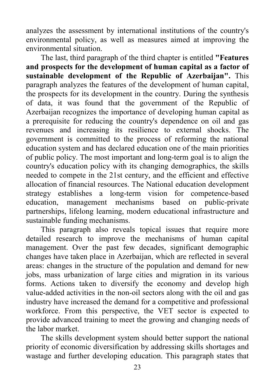analyzes the assessment by international institutions of the country's environmental policy, as well as measures aimed at improving the environmental situation.

The last, third paragraph of the third chapter is entitled **"Features and prospects for the development of human capital as a factor of sustainable development of the Republic of Azerbaijan".** This paragraph analyzes the features of the development of human capital, the prospects for its development in the country. During the synthesis of data, it was found that the government of the Republic of Azerbaijan recognizes the importance of developing human capital as a prerequisite for reducing the country's dependence on oil and gas revenues and increasing its resilience to external shocks. The government is committed to the process of reforming the national education system and has declared education one of the main priorities of public policy. The most important and long-term goal is to align the country's education policy with its changing demographics, the skills needed to compete in the 21st century, and the efficient and effective allocation of financial resources. The National education development strategy establishes a long-term vision for competence-based education, management mechanisms based on public-private partnerships, lifelong learning, modern educational infrastructure and sustainable funding mechanisms.

This paragraph also reveals topical issues that require more detailed research to improve the mechanisms of human capital management. Over the past few decades, significant demographic changes have taken place in Azerbaijan, which are reflected in several areas: changes in the structure of the population and demand for new jobs, mass urbanization of large cities and migration in its various forms. Actions taken to diversify the economy and develop high value-added activities in the non-oil sectors along with the oil and gas industry have increased the demand for a competitive and professional workforce. From this perspective, the VET sector is expected to provide advanced training to meet the growing and changing needs of the labor market.

The skills development system should better support the national priority of economic diversification by addressing skills shortages and wastage and further developing education. This paragraph states that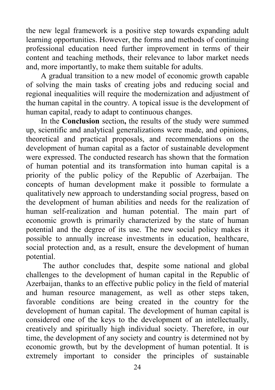the new legal framework is a positive step towards expanding adult learning opportunities. However, the forms and methods of continuing professional education need further improvement in terms of their content and teaching methods, their relevance to labor market needs and, more importantly, to make them suitable for adults.

A gradual transition to a new model of economic growth capable of solving the main tasks of creating jobs and reducing social and regional inequalities will require the modernization and adjustment of the human capital in the country. A topical issue is the development of human capital, ready to adapt to continuous changes.

In the **Conclusion** section**,** the results of the study were summed up, scientific and analytical generalizations were made, and opinions, theoretical and practical proposals, and recommendations on the development of human capital as a factor of sustainable development were expressed. The conducted research has shown that the formation of human potential and its transformation into human capital is a priority of the public policy of the Republic of Azerbaijan. The concepts of human development make it possible to formulate a qualitatively new approach to understanding social progress, based on the development of human abilities and needs for the realization of human self-realization and human potential. The main part of economic growth is primarily characterized by the state of human potential and the degree of its use. The new social policy makes it possible to annually increase investments in education, healthcare, social protection and, as a result, ensure the development of human potential.

The author concludes that, despite some national and global challenges to the development of human capital in the Republic of Azerbaijan, thanks to an effective public policy in the field of material and human resource management, as well as other steps taken, favorable conditions are being created in the country for the development of human capital. The development of human capital is considered one of the keys to the development of an intellectually, creatively and spiritually high individual society. Therefore, in our time, the development of any society and country is determined not by economic growth, but by the development of human potential. It is extremely important to consider the principles of sustainable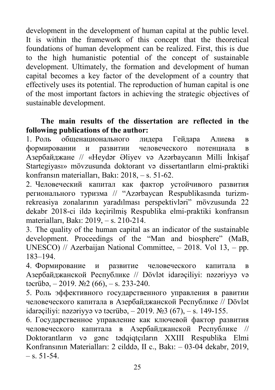development in the development of human capital at the public level. It is within the framework of this concept that the theoretical foundations of human development can be realized. First, this is due to the high humanistic potential of the concept of sustainable development. Ultimately, the formation and development of human capital becomes a key factor of the development of a country that effectively uses its potential. The reproduction of human capital is one of the most important factors in achieving the strategic objectives of sustainable development.

#### **The main results of the dissertation are reflected in the following publications of the author:**

1. Роль общенационального лидера Гейдара Алиева в формировании и развитии человеческого потенциала в Азербайджане // «Heydər Əliyev və Azərbaycanın Milli İnkişaf Startegiyası» mövzusunda doktorant və dissertantların elmi-praktiki konfransın materialları, Bakı: 2018, – s. 51-62.

2. Человеческий капитал как фактор устойчивого развития регионального туризма // "Azərbaycan Respublikasında turizmrekreasiya zonalarının yaradılması perspektivləri" mövzusunda 22 dekabr 2018-ci ildə keçirilmiş Respublika elmi-praktiki konfransın materialları, Bakı: 2019, – s. 210-214.

3. The quality of the human capital as an indicator of the sustainable development. Proceedings of the "Man and biosphere" (MaB, UNESCO) // Azerbaijan National Committee, – 2018. Vol 13, – pp. 183–194.

4. Формирование и развитие человеческого капитала в Азербайджанской Республике // Dövlət idarəçiliyi: nəzəriyyə və təcrübə,  $-2019$ .  $\mathbb{N}2(66)$ ,  $-$  s. 233-240.

5. Роль эффективного государственного управления в равитии человеческого капитала в Азербайджанской Республике // Dövlət idarəçiliyi: nəzəriyyə və təcrübə, – 2019. №3 (67), – s. 149-155.

6. Государственное управление как ключевой фактор развития человеческого капитала в Азербайджанской Республике // Doktorantların və gənc tədqiqtçıların XXIII Respublika Elmi Konfransının Materialları: 2 cilddə, II c., Bakı: – 03-04 dekabr, 2019,  $-$  s. 51-54.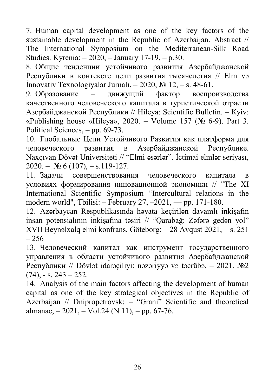7. Human capital development as one of the key factors of the sustainable development in the Republic of Azerbaijan. Abstract // The International Symposium on the Mediterranean-Silk Road Studies. Kyrenia: – 2020, – January 17-19, – p.30.

8. Общие тенденции устойчивого развития Азербайджанской Республики в контексте цели развития тысячелетия // Elm və İnnovativ Texnologiyalar Jurnalı, – 2020, № 12, – s. 48-61.

9. Образование – движущий фактор воспроизводства качественного человеческого капитала в туристической отрасли Азербайджанской Республики // Hileya: Scientific Bulletin. – Кyiv: «Publishing house «Hileya», 2020. – Volume 157 (№ 6-9). Part 3. Political Sciences, – pp. 69-73.

10. Глобальные Цели Устойчивого Развития как платформа для человеческого развития в Азербайджанской Республике. Naxçıvan Dövət Universiteti // "Elmi əsərlər". İctimai elmlər seriyası,  $2020. - N<sub>2</sub> 6 (107)$ ,  $- s.119-127$ .

11. Задачи совершенствования человеческого капитала в условиях формирования инновационной экономики // "The XI International Scientific Symposium "Intercultural relations in the modern world", Tbilisi: – February 27, –2021, –– pp. 171-180.

12. Azərbaycan Respublikasında həyata keçirilən davamlı inkişafın insan potensialının inkişafına təsiri // "Qarabağ: Zəfərə gedən yol" XVII Beynəlxalq elmi konfrans, Göteborg: – 28 Avqust 2021, – s. 251  $-256$ 

13. Человеческий капитал как инструмент государственного управления в области устойчивого развития Азербайджанской Республики // Dövlət idarəçiliyi: nəzəriyyə və təcrübə, – 2021. №2  $(74)$ , - s.  $243 - 252$ .

14. Analysis of the main factors affecting the development of human capital as one of the key strategical objectives in the Republic of Azerbaijan // Dnipropetrovsk: – "Grani" Scientific and theoretical almanac,  $-2021$ ,  $-$  Vol.24 (N 11),  $-$  pp. 67-76.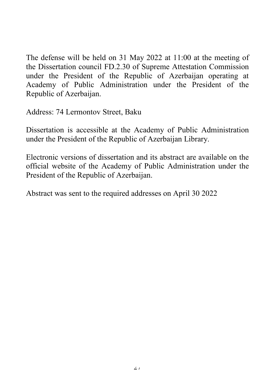The defense will be held on 31 May 2022 at 11:00 at the meeting of the Dissertation council FD.2.30 of Supreme Attestation Commission under the President of the Republic of Azerbaijan operating at Academy of Public Administration under the President of the Republic of Azerbaijan.

Address: 74 Lermontov Street, Baku

Dissertation is accessible at the Academy of Public Administration under the President of the Republic of Azerbaijan Library.

Electronic versions of dissertation and its abstract are available on the official website of the Academy of Public Administration under the President of the Republic of Azerbaijan.

Abstract was sent to the required addresses on April 30 2022